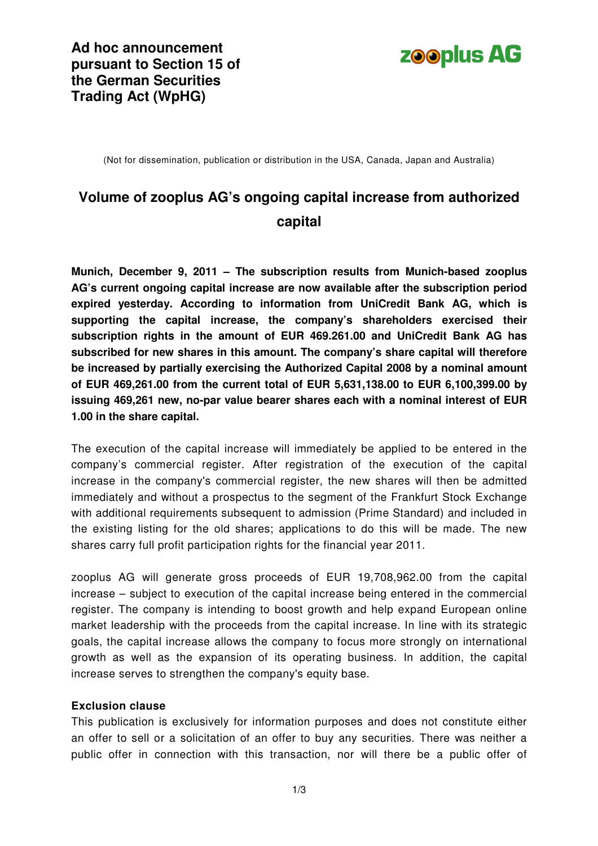

(Not for dissemination, publication or distribution in the USA, Canada, Japan and Australia)

# **Volume of zooplus AG's ongoing capital increase from authorized capital**

**Munich, December 9, 2011 – The subscription results from Munich-based zooplus AG's current ongoing capital increase are now available after the subscription period expired yesterday. According to information from UniCredit Bank AG, which is supporting the capital increase, the company's shareholders exercised their subscription rights in the amount of EUR 469.261.00 and UniCredit Bank AG has subscribed for new shares in this amount. The company's share capital will therefore be increased by partially exercising the Authorized Capital 2008 by a nominal amount of EUR 469,261.00 from the current total of EUR 5,631,138.00 to EUR 6,100,399.00 by issuing 469,261 new, no-par value bearer shares each with a nominal interest of EUR 1.00 in the share capital.** 

The execution of the capital increase will immediately be applied to be entered in the company's commercial register. After registration of the execution of the capital increase in the company's commercial register, the new shares will then be admitted immediately and without a prospectus to the segment of the Frankfurt Stock Exchange with additional requirements subsequent to admission (Prime Standard) and included in the existing listing for the old shares; applications to do this will be made. The new shares carry full profit participation rights for the financial year 2011.

zooplus AG will generate gross proceeds of EUR 19,708,962.00 from the capital increase – subject to execution of the capital increase being entered in the commercial register. The company is intending to boost growth and help expand European online market leadership with the proceeds from the capital increase. In line with its strategic goals, the capital increase allows the company to focus more strongly on international growth as well as the expansion of its operating business. In addition, the capital increase serves to strengthen the company's equity base.

#### **Exclusion clause**

This publication is exclusively for information purposes and does not constitute either an offer to sell or a solicitation of an offer to buy any securities. There was neither a public offer in connection with this transaction, nor will there be a public offer of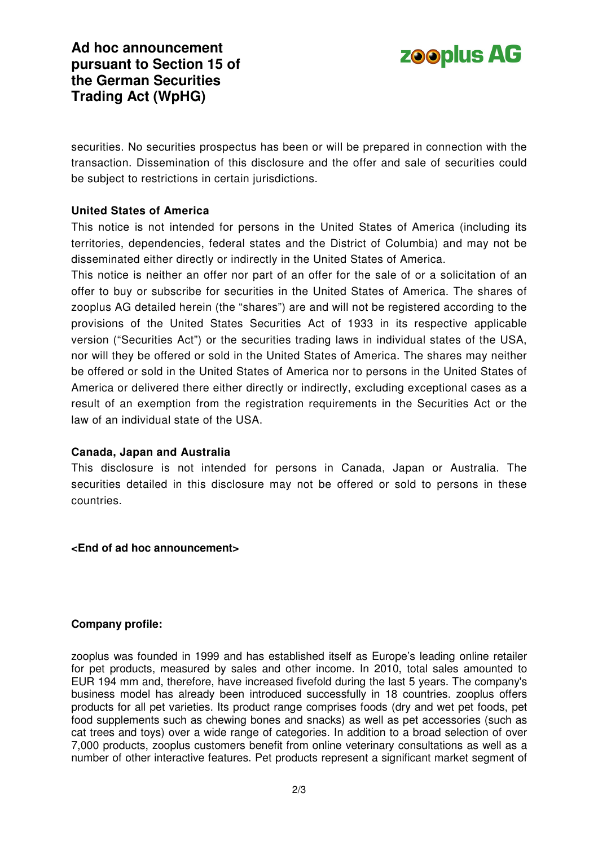



securities. No securities prospectus has been or will be prepared in connection with the transaction. Dissemination of this disclosure and the offer and sale of securities could be subject to restrictions in certain jurisdictions.

### **United States of America**

This notice is not intended for persons in the United States of America (including its territories, dependencies, federal states and the District of Columbia) and may not be disseminated either directly or indirectly in the United States of America.

This notice is neither an offer nor part of an offer for the sale of or a solicitation of an offer to buy or subscribe for securities in the United States of America. The shares of zooplus AG detailed herein (the "shares") are and will not be registered according to the provisions of the United States Securities Act of 1933 in its respective applicable version ("Securities Act") or the securities trading laws in individual states of the USA, nor will they be offered or sold in the United States of America. The shares may neither be offered or sold in the United States of America nor to persons in the United States of America or delivered there either directly or indirectly, excluding exceptional cases as a result of an exemption from the registration requirements in the Securities Act or the law of an individual state of the USA.

#### **Canada, Japan and Australia**

This disclosure is not intended for persons in Canada, Japan or Australia. The securities detailed in this disclosure may not be offered or sold to persons in these countries.

#### **<End of ad hoc announcement>**

#### **Company profile:**

zooplus was founded in 1999 and has established itself as Europe's leading online retailer for pet products, measured by sales and other income. In 2010, total sales amounted to EUR 194 mm and, therefore, have increased fivefold during the last 5 years. The company's business model has already been introduced successfully in 18 countries. zooplus offers products for all pet varieties. Its product range comprises foods (dry and wet pet foods, pet food supplements such as chewing bones and snacks) as well as pet accessories (such as cat trees and toys) over a wide range of categories. In addition to a broad selection of over 7,000 products, zooplus customers benefit from online veterinary consultations as well as a number of other interactive features. Pet products represent a significant market segment of